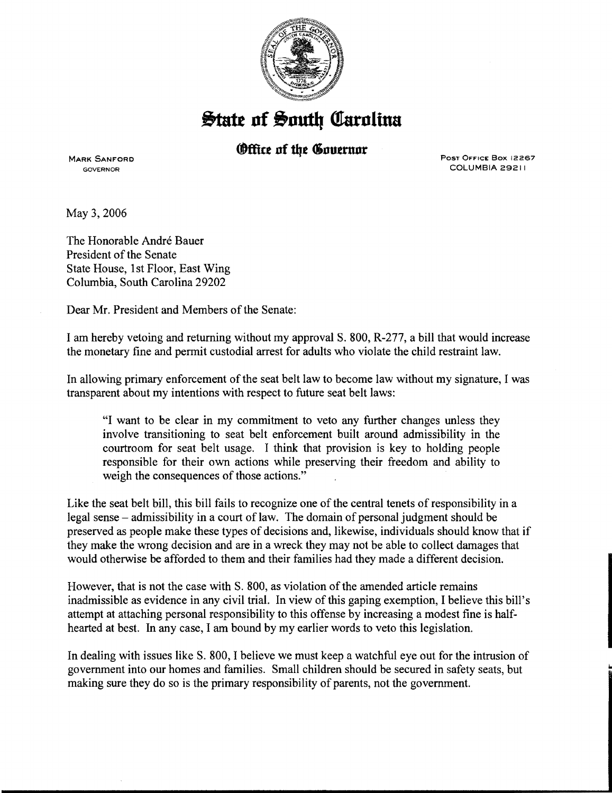

**State of South Carolina** 

## **(Office of the Covernor**

**MARK SANFORD** GOVERNOR

Post Office Box 12267 COLUMBIA 29211

May 3, 2006

The Honorable André Bauer President of the Senate State House, 1st Floor, East Wing Columbia, South Carolina 29202

Dear Mr. President and Members of the Senate:

I am hereby vetoing and returning without my approval S. 800, R-277, a bill that would increase the monetary fine and permit custodial arrest for adults who violate the child restraint law.

In allowing primary enforcement of the seat belt law to become law without my signature, I was transparent about my intentions with respect to future seat belt laws:

"I want to be clear in my commitment to veto any further changes unless they involve transitioning to seat belt enforcement built around admissibility in the courtroom for seat belt usage. I think that provision is key to holding people responsible for their own actions while preserving their freedom and ability to weigh the consequences of those actions."

Like the seat belt bill, this bill fails to recognize one of the central tenets of responsibility in a legal sense- admissibility in a court of law. The domain of personal judgment should be preserved as people make these types of decisions and, likewise, individuals should know that if they make the wrong decision and are in a wreck they may not be able to collect damages that would otherwise be afforded to them and their families had they made a different decision.

However, that is not the case with S. 800, as violation of the amended article remains inadmissible as evidence in any civil trial. In view of this gaping exemption, I believe this bill's attempt at attaching personal responsibility to this offense by increasing a modest fine is halfhearted at best. In any case, I am bound by my earlier words to veto this legislation.

In dealing with issues like S. 800, I believe we must keep a watchful eye out for the intrusion of government into our homes and families. Small children should be secured in safety seats, but making sure they do so is the primary responsibility of parents, not the government.